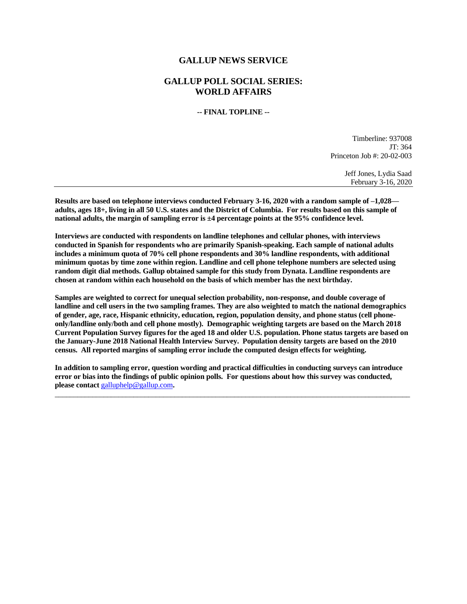## **GALLUP NEWS SERVICE**

# **GALLUP POLL SOCIAL SERIES: WORLD AFFAIRS**

**-- FINAL TOPLINE --**

Timberline: 937008 JT: 364 Princeton Job #: 20-02-003

> Jeff Jones, Lydia Saad February 3-16, 2020

**Results are based on telephone interviews conducted February 3-16, 2020 with a random sample of –1,028 adults, ages 18+, living in all 50 U.S. states and the District of Columbia. For results based on this sample of national adults, the margin of sampling error is ±4 percentage points at the 95% confidence level.** 

**Interviews are conducted with respondents on landline telephones and cellular phones, with interviews conducted in Spanish for respondents who are primarily Spanish-speaking. Each sample of national adults includes a minimum quota of 70% cell phone respondents and 30% landline respondents, with additional minimum quotas by time zone within region. Landline and cell phone telephone numbers are selected using random digit dial methods. Gallup obtained sample for this study from Dynata. Landline respondents are chosen at random within each household on the basis of which member has the next birthday.**

**Samples are weighted to correct for unequal selection probability, non-response, and double coverage of landline and cell users in the two sampling frames. They are also weighted to match the national demographics of gender, age, race, Hispanic ethnicity, education, region, population density, and phone status (cell phoneonly/landline only/both and cell phone mostly). Demographic weighting targets are based on the March 2018 Current Population Survey figures for the aged 18 and older U.S. population. Phone status targets are based on the January-June 2018 National Health Interview Survey. Population density targets are based on the 2010 census. All reported margins of sampling error include the computed design effects for weighting.** 

**In addition to sampling error, question wording and practical difficulties in conducting surveys can introduce error or bias into the findings of public opinion polls. For questions about how this survey was conducted, please contact** [galluphelp@gallup.com](mailto:galluphelp@gallup.com)**.**

 $\overline{\phantom{a}}$  ,  $\overline{\phantom{a}}$  ,  $\overline{\phantom{a}}$  ,  $\overline{\phantom{a}}$  ,  $\overline{\phantom{a}}$  ,  $\overline{\phantom{a}}$  ,  $\overline{\phantom{a}}$  ,  $\overline{\phantom{a}}$  ,  $\overline{\phantom{a}}$  ,  $\overline{\phantom{a}}$  ,  $\overline{\phantom{a}}$  ,  $\overline{\phantom{a}}$  ,  $\overline{\phantom{a}}$  ,  $\overline{\phantom{a}}$  ,  $\overline{\phantom{a}}$  ,  $\overline{\phantom{a}}$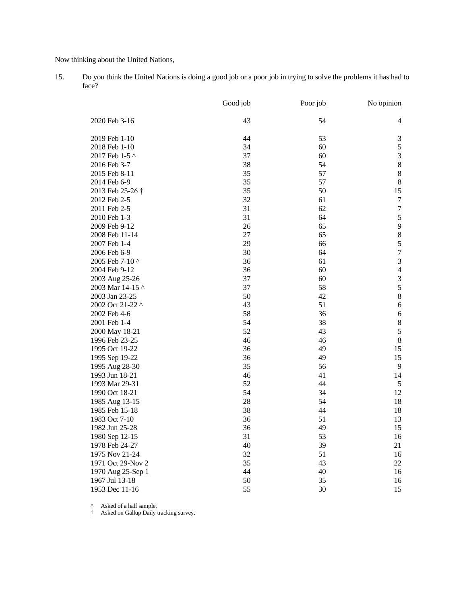Now thinking about the United Nations,

15. Do you think the United Nations is doing a good job or a poor job in trying to solve the problems it has had to face?

|                   | Good job | Poor job | No opinion              |
|-------------------|----------|----------|-------------------------|
| 2020 Feb 3-16     | 43       | 54       | 4                       |
| 2019 Feb 1-10     | 44       | 53       | $\mathfrak{Z}$          |
| 2018 Feb 1-10     | 34       | 60       | 5                       |
| 2017 Feb 1-5 ^    | 37       | 60       | $\overline{\mathbf{3}}$ |
| 2016 Feb 3-7      | 38       | 54       | $\,8$                   |
| 2015 Feb 8-11     | 35       | 57       | $\,$ 8 $\,$             |
| 2014 Feb 6-9      | 35       | 57       | $\,8\,$                 |
| 2013 Feb 25-26 †  | 35       | 50       | 15                      |
| 2012 Feb 2-5      | 32       | 61       | $\boldsymbol{7}$        |
| 2011 Feb 2-5      | 31       | 62       | $\boldsymbol{7}$        |
| 2010 Feb 1-3      | 31       | 64       | $\mathfrak s$           |
| 2009 Feb 9-12     | 26       | 65       | 9                       |
| 2008 Feb 11-14    | 27       | 65       | $\,8\,$                 |
| 2007 Feb 1-4      | 29       | 66       | 5                       |
| 2006 Feb 6-9      | 30       | 64       | $\overline{7}$          |
| 2005 Feb 7-10 ^   | 36       | 61       | $\overline{3}$          |
| 2004 Feb 9-12     | 36       | 60       | $\overline{4}$          |
| 2003 Aug 25-26    | 37       | 60       | $\overline{3}$          |
| 2003 Mar 14-15 ^  | 37       | 58       | 5                       |
| 2003 Jan 23-25    | 50       | 42       | $\,8\,$                 |
| 2002 Oct 21-22 ^  | 43       | 51       | $\sqrt{6}$              |
| 2002 Feb 4-6      | 58       | 36       | $\sqrt{6}$              |
| 2001 Feb 1-4      | 54       | 38       | $\,8\,$                 |
| 2000 May 18-21    | 52       | 43       | 5                       |
| 1996 Feb 23-25    | 46       | 46       | $8\,$                   |
| 1995 Oct 19-22    | 36       | 49       | 15                      |
| 1995 Sep 19-22    | 36       | 49       | 15                      |
| 1995 Aug 28-30    | 35       | 56       | 9                       |
| 1993 Jun 18-21    | 46       | 41       | 14                      |
| 1993 Mar 29-31    | 52       | 44       | $\sqrt{5}$              |
| 1990 Oct 18-21    | 54       | 34       | 12                      |
| 1985 Aug 13-15    | 28       | 54       | 18                      |
| 1985 Feb 15-18    | 38       | 44       | 18                      |
| 1983 Oct 7-10     | 36       | 51       | 13                      |
| 1982 Jun 25-28    | 36       | 49       | 15                      |
| 1980 Sep 12-15    | 31       | 53       | 16                      |
| 1978 Feb 24-27    | 40       | 39       | 21                      |
| 1975 Nov 21-24    | 32       | 51       | 16                      |
| 1971 Oct 29-Nov 2 | 35       | 43       | 22                      |
| 1970 Aug 25-Sep 1 | 44       | 40       | 16                      |
| 1967 Jul 13-18    | 50       | 35       | 16                      |
| 1953 Dec 11-16    | 55       | 30       | 15                      |

^ Asked of a half sample.

† Asked on Gallup Daily tracking survey.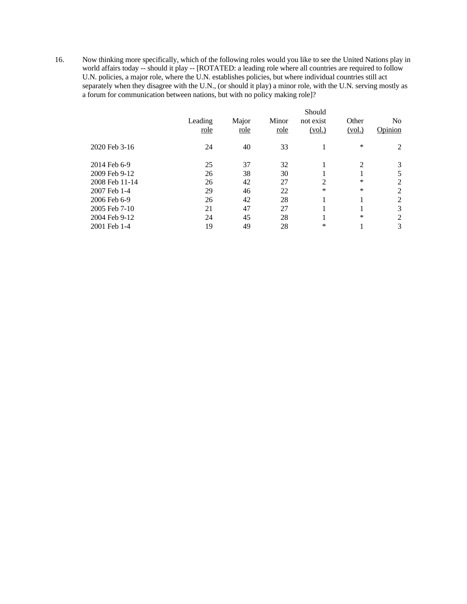16. Now thinking more specifically, which of the following roles would you like to see the United Nations play in world affairs today -- should it play -- [ROTATED: a leading role where all countries are required to follow U.N. policies, a major role, where the U.N. establishes policies, but where individual countries still act separately when they disagree with the U.N., (or should it play) a minor role, with the U.N. serving mostly as a forum for communication between nations, but with no policy making role]?

|                | Leading<br>role | Major<br>role | Minor<br>role | Should<br>not exist<br>(vol.) | Other<br>(vol.) | N <sub>0</sub><br>Opinion |
|----------------|-----------------|---------------|---------------|-------------------------------|-----------------|---------------------------|
| 2020 Feb 3-16  | 24              | 40            | 33            |                               | ∗               | 2                         |
| 2014 Feb 6-9   | 25              | 37            | 32            |                               | 2               | 3                         |
| 2009 Feb 9-12  | 26              | 38            | 30            |                               |                 | 5                         |
| 2008 Feb 11-14 | 26              | 42            | 27            | 2                             | ∗               | 2                         |
| 2007 Feb 1-4   | 29              | 46            | 22            | *                             | $\ast$          | $\overline{2}$            |
| 2006 Feb 6-9   | 26              | 42            | 28            |                               |                 | 2                         |
| 2005 Feb 7-10  | 21              | 47            | 27            |                               |                 | 3                         |
| 2004 Feb 9-12  | 24              | 45            | 28            |                               | $\ast$          | 2                         |
| 2001 Feb 1-4   | 19              | 49            | 28            | *                             |                 | 3                         |
|                |                 |               |               |                               |                 |                           |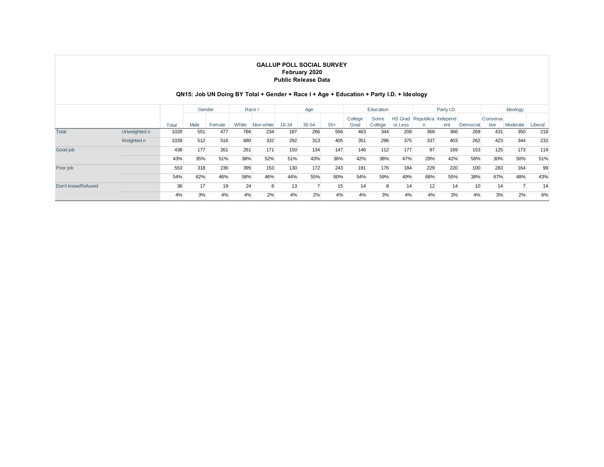#### **GALLUP POLL SOCIAL SURVEY February 2020 Public Release Data**

### **QN15: Job UN Doing BY Total + Gender + Race I + Age + Education + Party I.D. + Ideology**

|                    |              |       | Gender |        | Race I |           | Age   |           |       | Education |         |         | Party I.D.      |                            |                 | Ideology  |          |         |
|--------------------|--------------|-------|--------|--------|--------|-----------|-------|-----------|-------|-----------|---------|---------|-----------------|----------------------------|-----------------|-----------|----------|---------|
|                    |              |       |        |        |        |           |       |           |       | College   | Some    |         |                 | HS Grad Republica Independ |                 | Conserval |          |         |
|                    |              | Total | Male   | Female | White  | Non-white | 18-34 | $35 - 54$ | $55+$ | Grad      | College | or Less |                 | ent                        | Democrat        | tive      | Moderate | Liberal |
| <b>Total</b>       | Unweighted n | 1028  | 551    | 477    | 766    | 234       | 187   | 266       | 556   | 463       | 344     | 208     | 368             | 366                        | 269             | 431       | 350      | 218     |
|                    | Weighted n   | 1028  | 512    | 516    | 680    | 332       | 292   | 313       | 405   | 351       | 296     | 375     | 337             | 403                        | 262             | 423       | 344      | 232     |
| Good job           |              | 438   | 177    | 261    | 261    | 171       | 150   | 134       | 147   | 146       | 112     | 177     | 97              | 169                        | 153             | 125       | 173      | 119     |
|                    |              | 43%   | 35%    | 51%    | 38%    | 52%       | 51%   | 43%       | 36%   | 42%       | 38%     | 47%     | 29%             | 42%                        | 58%             | 30%       | 50%      | 51%     |
| Poor job           |              | 553   | 318    | 236    | 395    | 153       | 130   | 172       | 243   | 191       | 176     | 184     | 229             | 220                        | 100             | 283       | 164      | 99      |
|                    |              | 54%   | 62%    | 46%    | 58%    | 46%       | 44%   | 55%       | 60%   | 54%       | 59%     | 49%     | 68%             | 55%                        | 38%             | 67%       | 48%      | 43%     |
| Don't know/Refused |              | 36    | 17     | 19     | 24     |           | 13    |           | 15    | 14        | 8       | 14      | 12 <sub>1</sub> | 14                         | 10 <sup>1</sup> | 14        |          | 14      |
|                    |              | 4%    | 3%     | 4%     | 4%     | 2%        | 4%    | 2%        | 4%    | 4%        | 3%      | 4%      | 4%              | 3%                         | 4%              | 3%        | 2%       | 6%      |